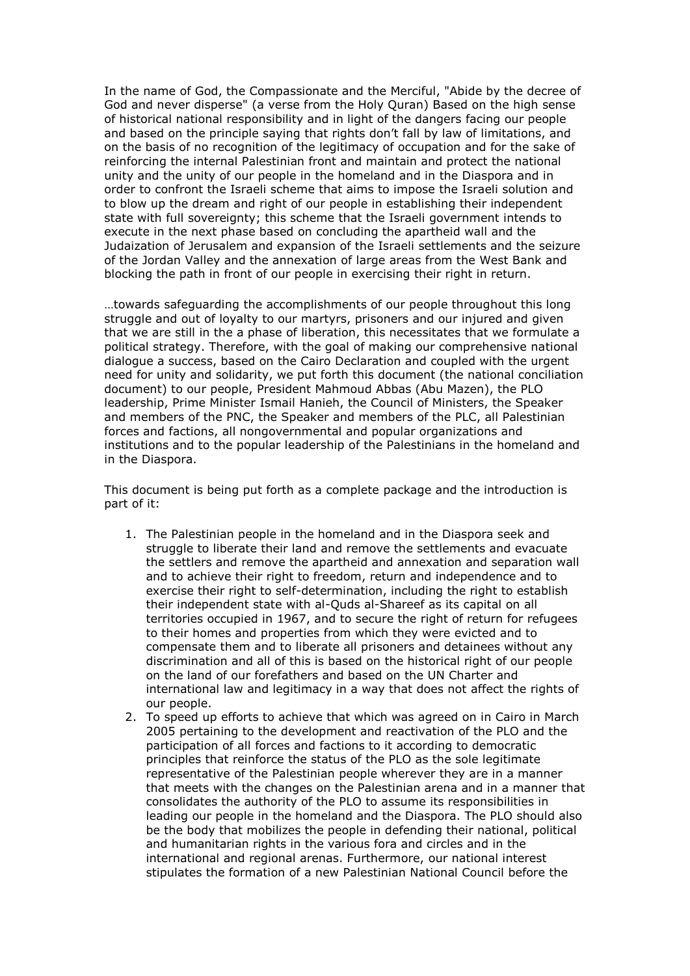In the name of God, the Compassionate and the Merciful, "Abide by the decree of God and never disperse" (a verse from the Holy Quran) Based on the high sense of historical national responsibility and in light of the dangers facing our people and based on the principle saying that rights don't fall by law of limitations, and on the basis of no recognition of the legitimacy of occupation and for the sake of reinforcing the internal Palestinian front and maintain and protect the national unity and the unity of our people in the homeland and in the Diaspora and in order to confront the Israeli scheme that aims to impose the Israeli solution and to blow up the dream and right of our people in establishing their independent state with full sovereignty; this scheme that the Israeli government intends to execute in the next phase based on concluding the apartheid wall and the Judaization of Jerusalem and expansion of the Israeli settlements and the seizure of the Jordan Valley and the annexation of large areas from the West Bank and blocking the path in front of our people in exercising their right in return.

…towards safeguarding the accomplishments of our people throughout this long struggle and out of loyalty to our martyrs, prisoners and our injured and given that we are still in the a phase of liberation, this necessitates that we formulate a political strategy. Therefore, with the goal of making our comprehensive national dialogue a success, based on the Cairo Declaration and coupled with the urgent need for unity and solidarity, we put forth this document (the national conciliation document) to our people, President Mahmoud Abbas (Abu Mazen), the PLO leadership, Prime Minister Ismail Hanieh, the Council of Ministers, the Speaker and members of the PNC, the Speaker and members of the PLC, all Palestinian forces and factions, all nongovernmental and popular organizations and institutions and to the popular leadership of the Palestinians in the homeland and in the Diaspora.

This document is being put forth as a complete package and the introduction is part of it:

- 1. The Palestinian people in the homeland and in the Diaspora seek and struggle to liberate their land and remove the settlements and evacuate the settlers and remove the apartheid and annexation and separation wall and to achieve their right to freedom, return and independence and to exercise their right to self-determination, including the right to establish their independent state with al-Quds al-Shareef as its capital on all territories occupied in 1967, and to secure the right of return for refugees to their homes and properties from which they were evicted and to compensate them and to liberate all prisoners and detainees without any discrimination and all of this is based on the historical right of our people on the land of our forefathers and based on the UN Charter and international law and legitimacy in a way that does not affect the rights of our people.
- 2. To speed up efforts to achieve that which was agreed on in Cairo in March 2005 pertaining to the development and reactivation of the PLO and the participation of all forces and factions to it according to democratic principles that reinforce the status of the PLO as the sole legitimate representative of the Palestinian people wherever they are in a manner that meets with the changes on the Palestinian arena and in a manner that consolidates the authority of the PLO to assume its responsibilities in leading our people in the homeland and the Diaspora. The PLO should also be the body that mobilizes the people in defending their national, political and humanitarian rights in the various fora and circles and in the international and regional arenas. Furthermore, our national interest stipulates the formation of a new Palestinian National Council before the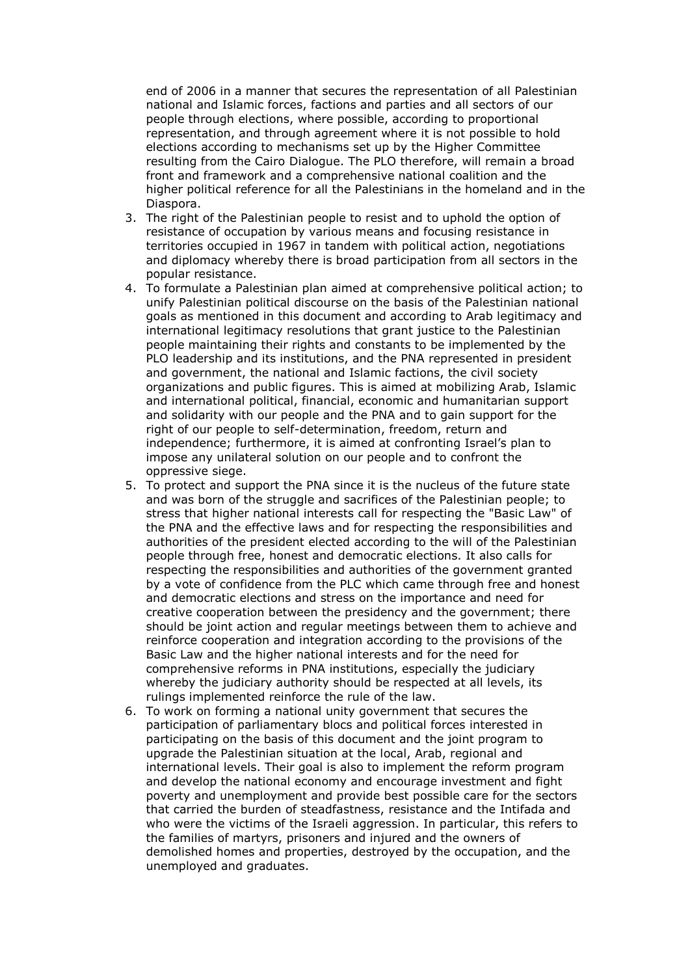end of 2006 in a manner that secures the representation of all Palestinian national and Islamic forces, factions and parties and all sectors of our people through elections, where possible, according to proportional representation, and through agreement where it is not possible to hold elections according to mechanisms set up by the Higher Committee resulting from the Cairo Dialogue. The PLO therefore, will remain a broad front and framework and a comprehensive national coalition and the higher political reference for all the Palestinians in the homeland and in the Diaspora.

- 3. The right of the Palestinian people to resist and to uphold the option of resistance of occupation by various means and focusing resistance in territories occupied in 1967 in tandem with political action, negotiations and diplomacy whereby there is broad participation from all sectors in the popular resistance.
- 4. To formulate a Palestinian plan aimed at comprehensive political action; to unify Palestinian political discourse on the basis of the Palestinian national goals as mentioned in this document and according to Arab legitimacy and international legitimacy resolutions that grant justice to the Palestinian people maintaining their rights and constants to be implemented by the PLO leadership and its institutions, and the PNA represented in president and government, the national and Islamic factions, the civil society organizations and public figures. This is aimed at mobilizing Arab, Islamic and international political, financial, economic and humanitarian support and solidarity with our people and the PNA and to gain support for the right of our people to self-determination, freedom, return and independence; furthermore, it is aimed at confronting Israel's plan to impose any unilateral solution on our people and to confront the oppressive siege.
- 5. To protect and support the PNA since it is the nucleus of the future state and was born of the struggle and sacrifices of the Palestinian people; to stress that higher national interests call for respecting the "Basic Law" of the PNA and the effective laws and for respecting the responsibilities and authorities of the president elected according to the will of the Palestinian people through free, honest and democratic elections. It also calls for respecting the responsibilities and authorities of the government granted by a vote of confidence from the PLC which came through free and honest and democratic elections and stress on the importance and need for creative cooperation between the presidency and the government; there should be joint action and regular meetings between them to achieve and reinforce cooperation and integration according to the provisions of the Basic Law and the higher national interests and for the need for comprehensive reforms in PNA institutions, especially the judiciary whereby the judiciary authority should be respected at all levels, its rulings implemented reinforce the rule of the law.
- 6. To work on forming a national unity government that secures the participation of parliamentary blocs and political forces interested in participating on the basis of this document and the joint program to upgrade the Palestinian situation at the local, Arab, regional and international levels. Their goal is also to implement the reform program and develop the national economy and encourage investment and fight poverty and unemployment and provide best possible care for the sectors that carried the burden of steadfastness, resistance and the Intifada and who were the victims of the Israeli aggression. In particular, this refers to the families of martyrs, prisoners and injured and the owners of demolished homes and properties, destroyed by the occupation, and the unemployed and graduates.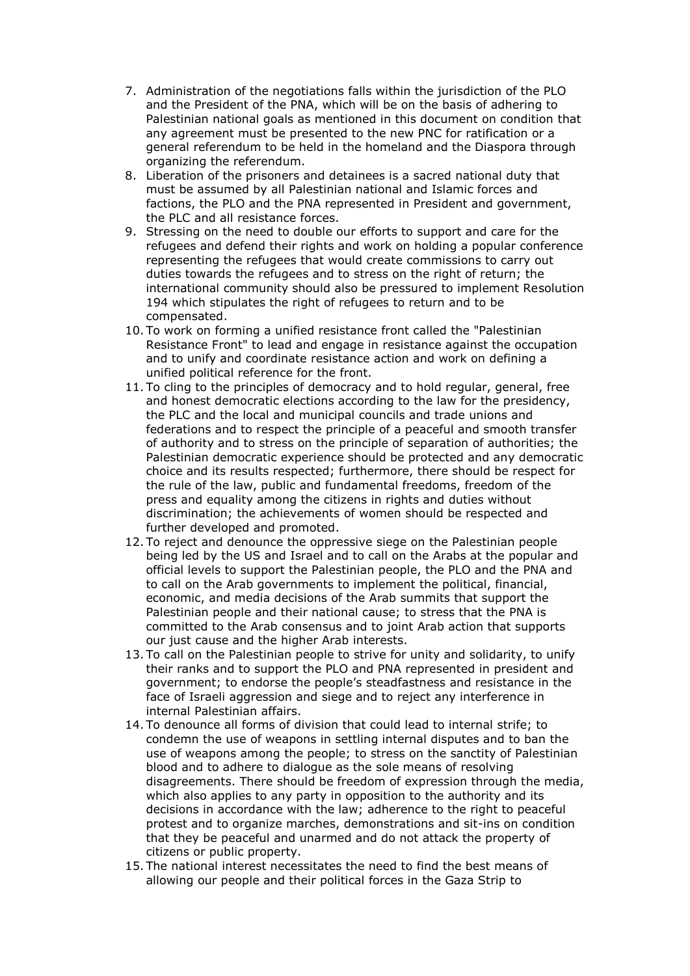- 7. Administration of the negotiations falls within the jurisdiction of the PLO and the President of the PNA, which will be on the basis of adhering to Palestinian national goals as mentioned in this document on condition that any agreement must be presented to the new PNC for ratification or a general referendum to be held in the homeland and the Diaspora through organizing the referendum.
- 8. Liberation of the prisoners and detainees is a sacred national duty that must be assumed by all Palestinian national and Islamic forces and factions, the PLO and the PNA represented in President and government, the PLC and all resistance forces.
- 9. Stressing on the need to double our efforts to support and care for the refugees and defend their rights and work on holding a popular conference representing the refugees that would create commissions to carry out duties towards the refugees and to stress on the right of return; the international community should also be pressured to implement Resolution 194 which stipulates the right of refugees to return and to be compensated.
- 10. To work on forming a unified resistance front called the "Palestinian Resistance Front" to lead and engage in resistance against the occupation and to unify and coordinate resistance action and work on defining a unified political reference for the front.
- 11. To cling to the principles of democracy and to hold regular, general, free and honest democratic elections according to the law for the presidency, the PLC and the local and municipal councils and trade unions and federations and to respect the principle of a peaceful and smooth transfer of authority and to stress on the principle of separation of authorities; the Palestinian democratic experience should be protected and any democratic choice and its results respected; furthermore, there should be respect for the rule of the law, public and fundamental freedoms, freedom of the press and equality among the citizens in rights and duties without discrimination; the achievements of women should be respected and further developed and promoted.
- 12. To reject and denounce the oppressive siege on the Palestinian people being led by the US and Israel and to call on the Arabs at the popular and official levels to support the Palestinian people, the PLO and the PNA and to call on the Arab governments to implement the political, financial, economic, and media decisions of the Arab summits that support the Palestinian people and their national cause; to stress that the PNA is committed to the Arab consensus and to joint Arab action that supports our just cause and the higher Arab interests.
- 13. To call on the Palestinian people to strive for unity and solidarity, to unify their ranks and to support the PLO and PNA represented in president and government; to endorse the people's steadfastness and resistance in the face of Israeli aggression and siege and to reject any interference in internal Palestinian affairs.
- 14. To denounce all forms of division that could lead to internal strife; to condemn the use of weapons in settling internal disputes and to ban the use of weapons among the people; to stress on the sanctity of Palestinian blood and to adhere to dialogue as the sole means of resolving disagreements. There should be freedom of expression through the media, which also applies to any party in opposition to the authority and its decisions in accordance with the law; adherence to the right to peaceful protest and to organize marches, demonstrations and sit-ins on condition that they be peaceful and unarmed and do not attack the property of citizens or public property.
- 15. The national interest necessitates the need to find the best means of allowing our people and their political forces in the Gaza Strip to